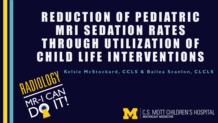## REDUCTION OF PEDIATRIC MRI SEDATION RATES THROUGH UTILIZATION OF CHILD LIFE INTERVENTIONS

MR-I CAN

**Kelsie McStockard , CCLS & Bailea Scanlon, CLCLS**



C.S. MOTT CHILDREN'S HOSPITAL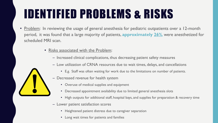# IDENTIFIED PROBLEMS & RISKS

- Problem: In reviewing the usage of general anesthesia for pediatric outpatients over a 12-month period, it was found that a large majority of patients, **approximately 26%**, were anesthetized for scheduled MRI scan.
	- Risks associated with the Problem:
		- Increased clinical complications, thus decreasing patient safety measures
		- Low utilization of CRNA resources due to wait times, delays, and cancellations
			- E.g. Staff was often waiting for work due to the limitations on number of patients.
		- Decreased revenue for health system
			- Overuse of medical supplies and equipment
			- Decreased appointment availability due to limited general anesthesia slots
			- High outputs for additional staff, hospital bays, and supplies for preparation & recovery time
		- Lower patient satisfaction scores
			- Heightened patient distress due to caregiver separation
			- Long wait times for patients and families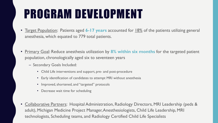## PROGRAM DEVELOPMENT

- Target Population: Patients aged **6-17 years** accounted for 18% of the patients utilizing general anesthesia, which equated to 779 total patients.
- Primary Goal: Reduce anesthesia utilization by **8% within six months** for the targeted patient population, chronologically aged six to seventeen years
	- Secondary Goals Included:
		- Child Life interventions and support, pre- and post-procedure
		- Early identification of candidates to attempt MRI without anesthesia
		- Improved, shortened, and "targeted" protocols
		- Decrease wait time for scheduling
- Collaborative Partners: Hospital Administration, Radiology Directors, MRI Leadership (peds & adult), Michigan Medicine Project Manager, Anesthesiologists, Child Life Leadership, MRI technologists, Scheduling teams, and Radiology Certified Child Life Specialists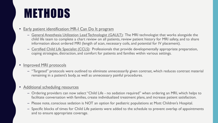### **METHODS**

### **Early patient identification: MR-I Can Do It program**

- General Anesthesia Utilization Lead Technologist (GAULT): The MRI technologist that works alongside the child life team to complete a chart review on all patients, review patient history for MRI safety, and to share information about ordered MRI (length of scan, necessary coils, and potential for IV placement).
- Certified Child Life Specialist (CCLS): Professionals that provide developmentally appropriate preparation, coping strategies, distraction, and comfort for patients and families within various settings.

### Improved MRI protocols

– "Targeted" protocols were outlined to eliminate unnecessarily given contrast, which reduces contrast material remaining in a patient's body, as well as unnecessary painful procedures.

### • Additional scheduling resources

- Ordering providers can now select "Child Life no sedation required" when ordering an MRI, which helps to facilitate conversation with families, create individualized treatment plans, and increase patient satisfaction.
- Please note, conscious sedation is NOT an option for pediatric populations at Mott Children's Hospital.
- Specific blocks of times for Child Life patients were added to the schedule to prevent overlap of appointments and to ensure appropriate coverage.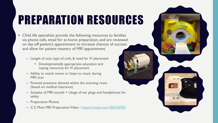# PREPARATION RESOURCES

- Child life specialists provide the following resources to families via phone calls, email for at-home preparation, and are reviewed on day-off patient's appointment to increase chances of success and allow for patient mastery of MRI appointment.
	- Length of scan, type of coils, & need for IV placement
		- Developmentally appropriate education and coping resources for IV placement
	- Ability to watch movie or listen to music during MRI scan
	- Parental presence allowed within the scanning room (based on medical clearance)
	- Samples of MRI sounds + Usage of ear plugs and headphones for safety
	- Preparation Photos
	- C.S. Mott MRI Preparation Video <https://vimeo.com/383376950>

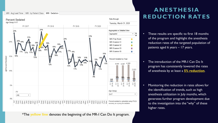### MRI - Avg Lead Time | MRI - by Patient Class | MRI - Sedation



\*The **yellow line** denotes the beginning of the MR-I Can Do It program.

### **ANESTHESIA REDUCTION RATES**

- These results are specific to first 18 months of the program and highlight the anesthesia reduction rates of the targeted population of patients aged 6 years – 17 years.
- The introduction of the MR-I Can Do It program has consistently lowered the rates of anesthesia by at least a **5% reduction**.
- Monitoring the reduction in rates allows for the identification of trends, such as high anesthesia utilization in July months, which generates further program development due to the investigation into the "why" of these higher rates.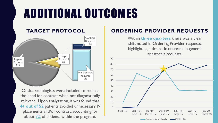### ADDITIONAL OUTCOMES



Onsite radiologists were included to reduce the need for contrast when not diagnostically relevant. Upon analyzation, it was found that **44 out of 52** patients avoided unnecessary IV placements and/or contrast, accounting for about  $\frac{7\%}{6}$  of patients within the program.

### **TARGET PROTOCOL ORDERING PROVIDER REQUESTS**



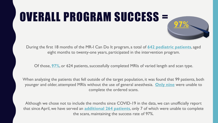# OVERALL PROGRAM SUCCESS = **97%**

During the first 18 months of the MR-I Can Do It program, a total of **642 pediatric patients**, aged eight months to twenty-one years, participated in the intervention program.

Of those, **97%**, or 624 patients, successfully completed MRIs of varied length and scan type.

When analyzing the patients that fell outside of the target population, it was found that 99 patients, both younger and older, attempted MRIs without the use of general anesthesia. **Only nine** were unable to complete the ordered scans.

Although we chose not to include the months since COVID-19 in the data, we can unofficially report that since April, we have served an **additional 264 patients**, only 7 of which were unable to complete the scans, maintaining the success rate of 97%.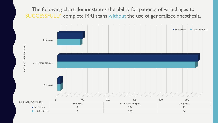The following chart demonstrates the ability for patients of varied ages to SUCCESSFULLY complete MRI scans without the use of generalized anesthesia.